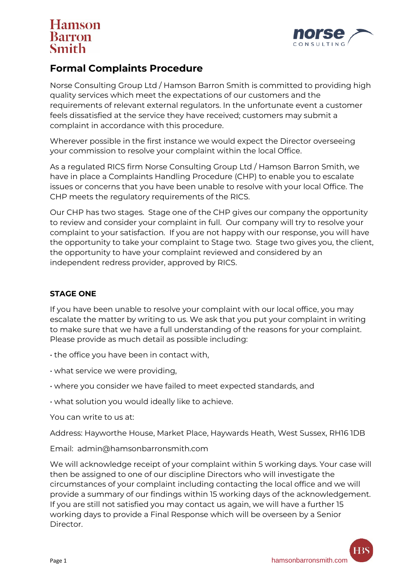# **Hamson** Barron



### **Formal Complaints Procedure**

Norse Consulting Group Ltd / Hamson Barron Smith is committed to providing high quality services which meet the expectations of our customers and the requirements of relevant external regulators. In the unfortunate event a customer feels dissatisfied at the service they have received; customers may submit a complaint in accordance with this procedure.

Wherever possible in the first instance we would expect the Director overseeing your commission to resolve your complaint within the local Office.

As a regulated RICS firm Norse Consulting Group Ltd / Hamson Barron Smith, we have in place a Complaints Handling Procedure (CHP) to enable you to escalate issues or concerns that you have been unable to resolve with your local Office. The CHP meets the regulatory requirements of the RICS.

Our CHP has two stages. Stage one of the CHP gives our company the opportunity to review and consider your complaint in full. Our company will try to resolve your complaint to your satisfaction. If you are not happy with our response, you will have the opportunity to take your complaint to Stage two. Stage two gives you, the client, the opportunity to have your complaint reviewed and considered by an independent redress provider, approved by RICS.

#### **STAGE ONE**

If you have been unable to resolve your complaint with our local office, you may escalate the matter by writing to us. We ask that you put your complaint in writing to make sure that we have a full understanding of the reasons for your complaint. Please provide as much detail as possible including:

- the office you have been in contact with,
- what service we were providing,
- where you consider we have failed to meet expected standards, and
- what solution you would ideally like to achieve.

You can write to us at:

Address: Hayworthe House, Market Place, Haywards Heath, West Sussex, RH16 1DB

Email: admin@hamsonbarronsmith.com

We will acknowledge receipt of your complaint within 5 working days. Your case will then be assigned to one of our discipline Directors who will investigate the circumstances of your complaint including contacting the local office and we will provide a summary of our findings within 15 working days of the acknowledgement. If you are still not satisfied you may contact us again, we will have a further 15 working days to provide a Final Response which will be overseen by a Senior Director.